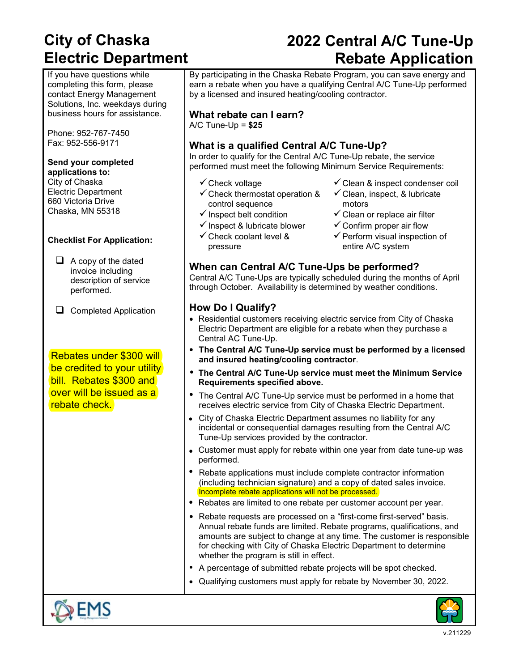# **City of Chaska Electric Department**

If you have questions while completing this form, please contact Energy Management Solutions, Inc. weekdays during business hours for assistance.

Phone: 952-767-7450 Fax: 952-556-9171

### **Send your completed**

**applications to:** City of Chaska Electric Department 660 Victoria Drive Chaska, MN 55318

#### **Checklist For Application:**

 $\Box$  A copy of the dated invoice including description of service performed.

 $\Box$  Completed Application

Rebates under \$300 will be credited to your utility bill. Rebates \$300 and over will be issued as a rebate check.

# **2022 Central A/C Tune-Up Rebate Application**

By participating in the Chaska Rebate Program, you can save energy and earn a rebate when you have a qualifying Central A/C Tune-Up performed by a licensed and insured heating/cooling contractor.

### **What rebate can I earn?**

A/C Tune-Up = **\$25**

### **What is a qualified Central A/C Tune-Up?**

In order to qualify for the Central A/C Tune-Up rebate, the service performed must meet the following Minimum Service Requirements:

- 
- $\checkmark$  Check thermostat operation & control sequence
- 
- $\checkmark$  Inspect & lubricate blower  $\checkmark$  Confirm proper air flow
- $\checkmark$  Check coolant level & pressure
- $\checkmark$  Check voltage  $\checkmark$  Clean & inspect condenser coil
	- $\checkmark$  Clean, inspect, & lubricate motors
- $\checkmark$  Inspect belt condition  $\checkmark$  Clean or replace air filter
	-
	- $\checkmark$  Perform visual inspection of entire A/C system

### **When can Central A/C Tune-Ups be performed?**

Central A/C Tune-Ups are typically scheduled during the months of April through October. Availability is determined by weather conditions.

#### **How Do I Qualify?**

- Residential customers receiving electric service from City of Chaska Electric Department are eligible for a rebate when they purchase a Central AC Tune-Up.
- **The Central A/C Tune-Up service must be performed by a licensed and insured heating/cooling contractor**.
- **The Central A/C Tune-Up service must meet the Minimum Service Requirements specified above.**
- The Central A/C Tune-Up service must be performed in a home that receives electric service from City of Chaska Electric Department.
- City of Chaska Electric Department assumes no liability for any incidental or consequential damages resulting from the Central A/C Tune-Up services provided by the contractor.
- Customer must apply for rebate within one year from date tune-up was performed.
- Rebate applications must include complete contractor information (including technician signature) and a copy of dated sales invoice. Incomplete rebate applications will not be processed.
- Rebates are limited to one rebate per customer account per year.
- Rebate requests are processed on a "first-come first-served" basis. Annual rebate funds are limited. Rebate programs, qualifications, and amounts are subject to change at any time. The customer is responsible for checking with City of Chaska Electric Department to determine whether the program is still in effect.
- A percentage of submitted rebate projects will be spot checked.
- Qualifying customers must apply for rebate by November 30, 2022.